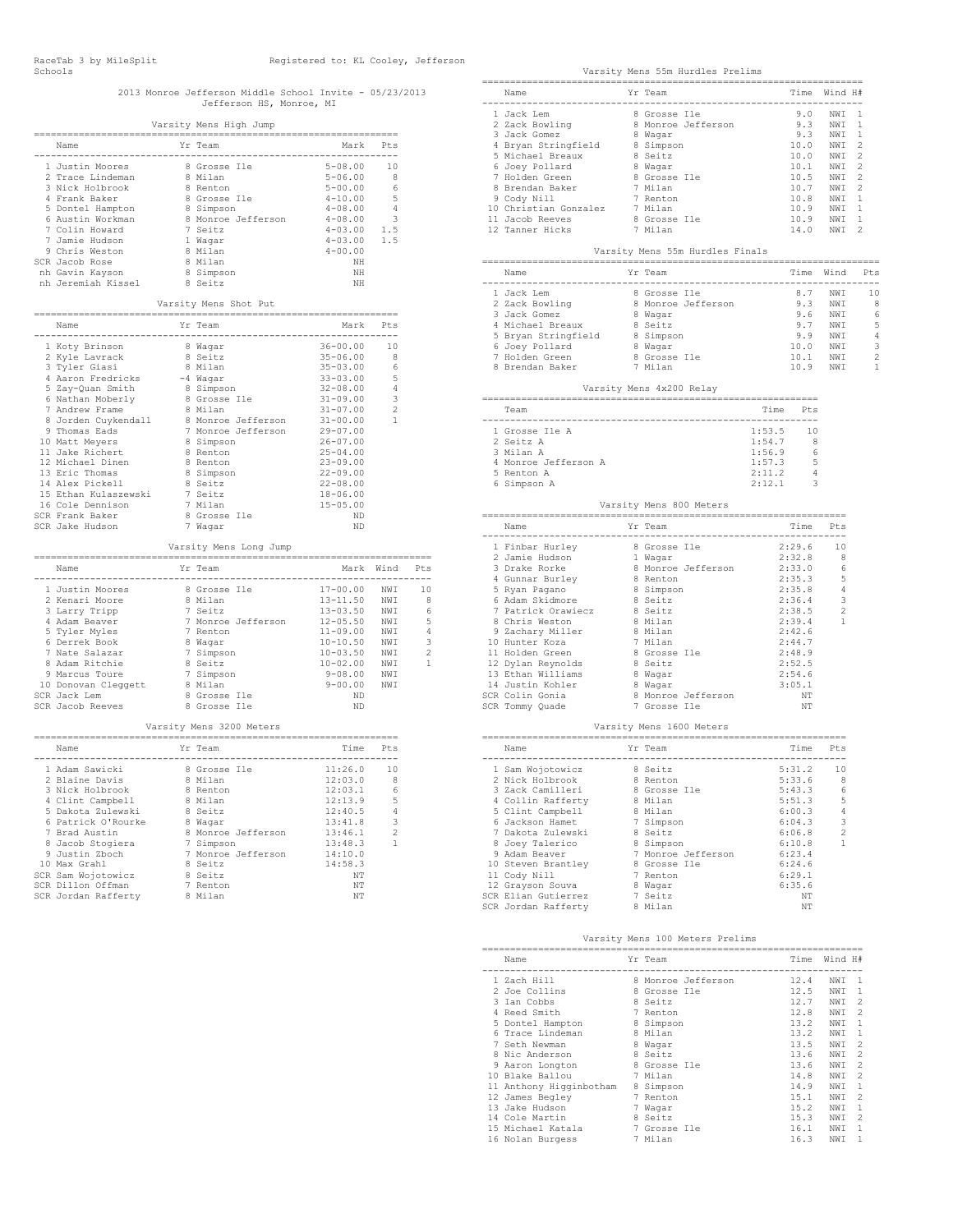# 2013 Monroe Jefferson Middle School Invite - 05/23/2013 Jefferson HS, Monroe, MI

|                                                                                                                                                                                                                                  | Varsity Mens High Jump                                                                                                                                     |                                                                                                                                                       |                                           |
|----------------------------------------------------------------------------------------------------------------------------------------------------------------------------------------------------------------------------------|------------------------------------------------------------------------------------------------------------------------------------------------------------|-------------------------------------------------------------------------------------------------------------------------------------------------------|-------------------------------------------|
| Name                                                                                                                                                                                                                             | Yr Team                                                                                                                                                    | Mark                                                                                                                                                  | Pts                                       |
| 1 Justin Moores<br>2 Trace Lindeman<br>3 Nick Holbrook<br>4 Frank Baker<br>5 Dontel Hampton<br>6 Austin Workman<br>7 Colin Howard<br>7 Jamie Hudson<br>9 Chris Weston<br>SCR Jacob Rose<br>nh Gavin Kayson<br>nh Jeremiah Kissel | 8 Grosse Ile<br>8 Milan<br>8 Renton<br>8 Grosse Ile<br>8 Simpson<br>8 Monroe Jefferson<br>7 Seitz<br>1 Waqar<br>8 Milan<br>8 Milan<br>8 Simpson<br>8 Seitz | $5 - 08.00$<br>$5 - 06.00$<br>$5 - 00.00$<br>$4 - 10.00$<br>$4 - 08.00$<br>$4 - 08.00$<br>$4 - 03.00$<br>$4 - 03.00$<br>$4 - 00.00$<br>NH<br>NH<br>NH | 10<br>8<br>6<br>5<br>4<br>3<br>1.5<br>1.5 |
|                                                                                                                                                                                                                                  | Varsity Mens Shot Put                                                                                                                                      |                                                                                                                                                       |                                           |
| Name                                                                                                                                                                                                                             | Yr Team                                                                                                                                                    | Mark                                                                                                                                                  | Pt.s                                      |
| 1 Koty Brinson<br>2 Kyle Lavrack<br>3 Tyler Giasi                                                                                                                                                                                | 8 Waqar<br>8 Seitz<br>8 Milan                                                                                                                              | 36-00.00<br>35-06.00<br>$35 - 03.00$                                                                                                                  | 10<br>8<br>6                              |

| 4 Aaron Fredricks    | -4 Waqar                    | $33 - 03.00$ | 5              |
|----------------------|-----------------------------|--------------|----------------|
| 5 Zay-Quan Smith     | 8 Simpson                   | 32-08.00     | 4              |
| 6 Nathan Moberly     | 8 Grosse Ile                | 31-09.00     | 3              |
| 7 Andrew Frame       | 8 Milan                     | $31 - 07.00$ | $\overline{c}$ |
| 8 Jorden Cuykendall  | 8 Monroe Jefferson          | $31 - 00.00$ | 1              |
| 9 Thomas Eads        | 7 Monroe Jefferson 29-07.00 |              |                |
| 10 Matt Meyers       | 8 Simpson                   | $26 - 07.00$ |                |
| 11 Jake Richert      | 8 Renton                    | $25 - 04.00$ |                |
| 12 Michael Dinen     | 8 Renton                    | $23 - 09.00$ |                |
| 13 Eric Thomas       | 8 Simpson                   | $22 - 09.00$ |                |
| 14 Alex Pickell      | 8 Seitz                     | $22 - 08.00$ |                |
| 15 Ethan Kulaszewski | 7 Seitz                     | $18 - 06.00$ |                |
| 16 Cole Dennison     | 7 Milan                     | $15 - 05.00$ |                |
| SCR Frank Baker      | 8 Grosse Ile                | ND           |                |
| SCR Jake Hudson      | 7 Waqar                     | ND           |                |
|                      |                             |              |                |

## Varsity Mens Long Jump

|    | Name             |    | Yr Team            | Mark         | Wind            | Pt.s |  |  |  |
|----|------------------|----|--------------------|--------------|-----------------|------|--|--|--|
|    |                  |    |                    |              |                 |      |  |  |  |
|    | 1 Justin Moores  |    | 8 Grosse Ile       | $17 - 00.00$ | NW T            | 10   |  |  |  |
|    | 2 Kenari Moore   |    | 8 Milan            | $13 - 11.50$ | NW T            | 8    |  |  |  |
|    | 3 Larry Tripp    |    | 7 Seitz            | $13 - 03.50$ | NW T            | 6    |  |  |  |
|    | 4 Adam Beaver    |    | 7 Monroe Jefferson | $12 - 05.50$ | NW T            | 5    |  |  |  |
|    | 5 Tyler Myles    |    | 7 Renton           | $11 - 09.00$ | NW T            | 4    |  |  |  |
|    | 6 Derrek Book    | 8  | Waqar              | $10 - 10.50$ | NW <sub>T</sub> | 3    |  |  |  |
|    | 7 Nate Salazar   |    | 7 Simpson          | $10 - 03.50$ | NW T            | 2    |  |  |  |
|    | 8 Adam Ritchie   |    | 8 Seitz            | $10 - 02.00$ | NW T            |      |  |  |  |
|    | 9 Marcus Toure   |    | 7 Simpson          | $9 - 08.00$  | NW T            |      |  |  |  |
| 10 | Donovan Cleggett | 8. | Milan              | $9 - 00.00$  | NW T            |      |  |  |  |
|    | SCR Jack Lem     |    | 8 Grosse Ile       | ND.          |                 |      |  |  |  |
|    | SCR Jacob Reeves |    | 8 Grosse Ile       | ND           |                 |      |  |  |  |

#### Varsity Mens 3200 Meters

| Name                |  | Yr Team            | Time    | Pt.s                     |  |  |  |  |  |
|---------------------|--|--------------------|---------|--------------------------|--|--|--|--|--|
| 1 Adam Sawicki      |  | 8 Grosse Ile       | 11:26.0 | 10                       |  |  |  |  |  |
| 2 Blaine Davis      |  | 8 Milan            | 12:03.0 | 8                        |  |  |  |  |  |
| 3 Nick Holbrook     |  | 8 Renton           | 12:03.1 | 6                        |  |  |  |  |  |
| 4 Clint Campbell    |  | 8 Milan            | 12:13.9 | 5                        |  |  |  |  |  |
| 5 Dakota Zulewski   |  | 8 Seitz            | 12:40.5 | 4                        |  |  |  |  |  |
| 6 Patrick O'Rourke  |  | 8 Waqar            | 13:41.8 | 3                        |  |  |  |  |  |
| 7 Brad Austin       |  | 8 Monroe Jefferson | 13:46.1 | $\overline{\mathcal{L}}$ |  |  |  |  |  |
| 8 Jacob Stogiera    |  | 7 Simpson          | 13:48.3 | 1                        |  |  |  |  |  |
| 9 Justin Zboch      |  | 7 Monroe Jefferson | 14:10.0 |                          |  |  |  |  |  |
| 10 Max Grahl        |  | 8 Seitz            | 14:58.3 |                          |  |  |  |  |  |
| SCR Sam Wojotowicz  |  | 8 Seitz            | NΤ      |                          |  |  |  |  |  |
| SCR Dillon Offman   |  | 7 Renton           | NΤ      |                          |  |  |  |  |  |
| SCR Jordan Rafferty |  | 8 Milan            | NΤ      |                          |  |  |  |  |  |

#### Varsity Mens 55m Hurdles Prelims

| Name                                                                                                                                                                                                                                             | Yr Team                         | Time Wind H#                                                                                         |                |  |
|--------------------------------------------------------------------------------------------------------------------------------------------------------------------------------------------------------------------------------------------------|---------------------------------|------------------------------------------------------------------------------------------------------|----------------|--|
| 1 Jack Lem                                                                                                                                                                                                                                       | 8 Grosse Ile                    |                                                                                                      |                |  |
|                                                                                                                                                                                                                                                  |                                 |                                                                                                      |                |  |
| 2 Zack Bowling<br>3 Jack Gomez                                                                                                                                                                                                                   | 8 Monroe Jefferson<br>8 Wagar   |                                                                                                      |                |  |
|                                                                                                                                                                                                                                                  |                                 |                                                                                                      |                |  |
| 4 Bryan Stringfield 8 Simpson<br>5 Michael Breaux 8 Seitz<br>6 Joey Pollard 8 Wagar<br>7 Holden Green 8 Scrosse 1<br>8 Grosse 1<br>8 Grosse 1<br>8 Grosse 1<br>9 Cody Nill 7 Renton<br>9 Cody Nill 7 Renton<br>7 Nilan                           |                                 |                                                                                                      |                |  |
|                                                                                                                                                                                                                                                  |                                 |                                                                                                      |                |  |
|                                                                                                                                                                                                                                                  | 8 Grosse Ile                    |                                                                                                      |                |  |
|                                                                                                                                                                                                                                                  |                                 |                                                                                                      |                |  |
|                                                                                                                                                                                                                                                  | $\frac{7}{7}$ Renton            |                                                                                                      |                |  |
|                                                                                                                                                                                                                                                  |                                 |                                                                                                      |                |  |
|                                                                                                                                                                                                                                                  |                                 |                                                                                                      |                |  |
| 10 Christian Gonzalez 7 Milan<br>11 Jacob Reeves 8 Grosse Ile<br>12 Tanner Hicks 7 Milan                                                                                                                                                         |                                 |                                                                                                      |                |  |
|                                                                                                                                                                                                                                                  | Varsity Mens 55m Hurdles Finals |                                                                                                      |                |  |
|                                                                                                                                                                                                                                                  |                                 |                                                                                                      |                |  |
| Name                                                                                                                                                                                                                                             | Yr Team                         | Time Wind Pts                                                                                        |                |  |
|                                                                                                                                                                                                                                                  |                                 |                                                                                                      |                |  |
|                                                                                                                                                                                                                                                  |                                 |                                                                                                      |                |  |
|                                                                                                                                                                                                                                                  |                                 |                                                                                                      |                |  |
|                                                                                                                                                                                                                                                  |                                 |                                                                                                      |                |  |
|                                                                                                                                                                                                                                                  |                                 |                                                                                                      |                |  |
|                                                                                                                                                                                                                                                  |                                 |                                                                                                      |                |  |
|                                                                                                                                                                                                                                                  |                                 |                                                                                                      |                |  |
|                                                                                                                                                                                                                                                  |                                 |                                                                                                      |                |  |
|                                                                                                                                                                                                                                                  |                                 |                                                                                                      |                |  |
|                                                                                                                                                                                                                                                  | Varsity Mens 4x200 Relay        |                                                                                                      |                |  |
| Team                                                                                                                                                                                                                                             |                                 | Time Pts                                                                                             |                |  |
| 1 Grosse Ile A                                                                                                                                                                                                                                   |                                 | --------------<br>1:53.5<br>10                                                                       |                |  |
| 2 Seitz A                                                                                                                                                                                                                                        |                                 | $\begin{array}{cccc} 1.54.7 & 8 \\ 1.54.7 & 8 \\ 1.56.9 & 6 \\ 2.11.2 & 4 \\ 2.12.1 & 3 \end{array}$ |                |  |
| 3 Milan A                                                                                                                                                                                                                                        |                                 |                                                                                                      |                |  |
| 4 Monroe Jefferson A                                                                                                                                                                                                                             |                                 |                                                                                                      |                |  |
| 5 Renton A                                                                                                                                                                                                                                       |                                 |                                                                                                      |                |  |
| 6 Simpson A                                                                                                                                                                                                                                      |                                 |                                                                                                      |                |  |
|                                                                                                                                                                                                                                                  |                                 |                                                                                                      |                |  |
|                                                                                                                                                                                                                                                  |                                 |                                                                                                      |                |  |
|                                                                                                                                                                                                                                                  | Varsity Mens 800 Meters         |                                                                                                      |                |  |
|                                                                                                                                                                                                                                                  |                                 |                                                                                                      |                |  |
| Name                                                                                                                                                                                                                                             | Yr Team                         | Time Pts                                                                                             |                |  |
|                                                                                                                                                                                                                                                  |                                 |                                                                                                      |                |  |
|                                                                                                                                                                                                                                                  |                                 |                                                                                                      |                |  |
|                                                                                                                                                                                                                                                  |                                 |                                                                                                      |                |  |
| 1 Finbar Hurley 8 Grosse Ile<br>2 Jamie Hudson 1 Wagar<br>3 Drake Rorke 8 Monroe Jefferson                                                                                                                                                       |                                 |                                                                                                      |                |  |
|                                                                                                                                                                                                                                                  | 8 Simpson                       | 2:35.8                                                                                               | -4             |  |
|                                                                                                                                                                                                                                                  |                                 |                                                                                                      | 3              |  |
|                                                                                                                                                                                                                                                  |                                 | $2:36.4$<br>$2:38.5$                                                                                 | $\overline{c}$ |  |
|                                                                                                                                                                                                                                                  |                                 | 2:39.4                                                                                               | 1              |  |
|                                                                                                                                                                                                                                                  |                                 | 2:42.6                                                                                               |                |  |
|                                                                                                                                                                                                                                                  |                                 | 2:44.7                                                                                               |                |  |
|                                                                                                                                                                                                                                                  | 8 Grosse Ile                    | 2:48.9                                                                                               |                |  |
|                                                                                                                                                                                                                                                  |                                 | 2:52.5                                                                                               |                |  |
|                                                                                                                                                                                                                                                  |                                 | 2:54.6                                                                                               |                |  |
|                                                                                                                                                                                                                                                  |                                 | 3:05.1                                                                                               |                |  |
|                                                                                                                                                                                                                                                  | 8 Monroe Jefferson              | NΤ                                                                                                   |                |  |
|                                                                                                                                                                                                                                                  | 7 Grosse Ile                    | NΤ                                                                                                   |                |  |
| Magar Magar (1998)<br>1979 - Wandam Skimbon<br>1989 - Magar (1999)<br>1989 - Magar (1999)<br>1989 - Magar Miller (1999)<br>1989 - Magar Miller (1999)<br>1989 - Magar Milliam (1999)<br>1989 - Magar (1999)<br>1991 - Magar (1999)<br>1991 - Mag | Varsity Mens 1600 Meters        |                                                                                                      |                |  |
| Name                                                                                                                                                                                                                                             |                                 |                                                                                                      |                |  |
|                                                                                                                                                                                                                                                  | Yr Team                         | Time Pts                                                                                             |                |  |
| 1 Sam Wojotowicz                                                                                                                                                                                                                                 | 8 Seitz                         | 5:31.2                                                                                               | 10             |  |
| 2 Nick Holbrook                                                                                                                                                                                                                                  | 8 Renton                        | 5:33.6                                                                                               | -8             |  |
| 3 Zack Camilleri                                                                                                                                                                                                                                 | 8 Grosse Ile                    | 5:43.3                                                                                               | 6              |  |
| 4 Collin Rafferty                                                                                                                                                                                                                                | 8 Milan                         | 5:51.3                                                                                               | 5              |  |
| 5 Clint Campbell                                                                                                                                                                                                                                 | 8 Milan                         | 6:00.3                                                                                               | $\overline{4}$ |  |
| 6 Jackson Hamet                                                                                                                                                                                                                                  | 7 Simpson                       | 6:04.3                                                                                               | 3              |  |
| 7 Dakota Zulewski                                                                                                                                                                                                                                | 8 Seitz                         | 6:06.8                                                                                               | $\overline{c}$ |  |
| 8 Joey Talerico                                                                                                                                                                                                                                  | 8 Simpson                       | 6:10.8                                                                                               | 1              |  |
| 9 Adam Beaver                                                                                                                                                                                                                                    | 7 Monroe Jefferson              | 6:23.4                                                                                               |                |  |
| 10 Steven Brantley                                                                                                                                                                                                                               | 8 Grosse Ile                    | 6:24.6                                                                                               |                |  |
| 11 Cody Nill                                                                                                                                                                                                                                     | 7 Renton                        | 6:29.1                                                                                               |                |  |
| 12 Grayson Souva                                                                                                                                                                                                                                 | 8 Waqar                         | 6:35.6                                                                                               |                |  |
| SCR Elian Gutierrez<br>SCR Jordan Rafferty                                                                                                                                                                                                       | 7 Seitz<br>8 Milan              | NΤ<br>NΤ                                                                                             |                |  |

#### Varsity Mens 100 Meters Prelims

|                 | Name                    |   | Yr Team          | Time | Wind H# |                |  |  |  |  |  |
|-----------------|-------------------------|---|------------------|------|---------|----------------|--|--|--|--|--|
|                 | 1 Zach Hill             | 8 | Monroe Jefferson | 12.4 | NWI     | 1              |  |  |  |  |  |
|                 | 2 Joe Collins           | 8 | Grosse Ile       | 12.5 | NWI     | 1              |  |  |  |  |  |
|                 | 3 Ian Cobbs             | 8 | Seitz            | 12.7 | NWI     | 2              |  |  |  |  |  |
|                 | Reed Smith              | 7 | Renton           | 12.8 | NWI     | 2              |  |  |  |  |  |
|                 | 5 Dontel Hampton        | 8 | Simpson          | 13.2 | NWI     | 1              |  |  |  |  |  |
|                 | Trace Lindeman          | 8 | Milan            | 13.2 | NWI     | 1              |  |  |  |  |  |
|                 | 7 Seth Newman           | 8 | Waqar            | 13.5 | NWI     | $\mathcal{D}$  |  |  |  |  |  |
|                 | 8 Nic Anderson          | 8 | Seitz            | 13.6 | NWI     | 2              |  |  |  |  |  |
|                 | 9 Aaron Longton         | 8 | Grosse Ile       | 13.6 | NWI     | 2              |  |  |  |  |  |
| 10 <sup>1</sup> | Blake Ballou            | 7 | Milan            | 14.8 | NWI     | $\overline{2}$ |  |  |  |  |  |
|                 | 11 Anthony Higginbotham | 8 | Simpson          | 14.9 | NWI     | 1              |  |  |  |  |  |
|                 | 12 James Begley         | 7 | Renton           | 15.1 | NWI     | $\overline{2}$ |  |  |  |  |  |
|                 | 13 Jake Hudson          | 7 | Waqar            | 15.2 | NWI     | 1              |  |  |  |  |  |
|                 | 14 Cole Martin          | 8 | Seitz            | 15.3 | NWI     | 2              |  |  |  |  |  |
|                 | 15 Michael Katala       | 7 | Grosse Ile       | 16.1 | NWI     | 1              |  |  |  |  |  |
|                 | 16 Nolan Burgess        |   | 7 Milan          | 16.3 | NWI     | 1              |  |  |  |  |  |